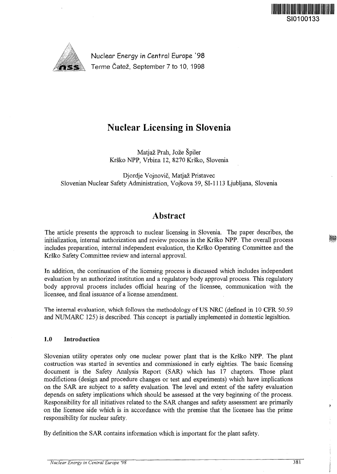

Nuclear Energy in Central Europe '98 Terme Catez, September 7 to 10, 1998

# Nuclear Licensing in Slovenia

Matjaz Prah, Joze Spiler Krsko NPP, Vrbina 12, 8270 Krsko, Slovenia

Djordje Vojnovic, Matjaz Pristavec Slovenian Nuclear Safety Administration, Vojkova 59, SI-1113 Ljubljana, Slovenia

# Abstract

The article presents the approach to nuclear licensing in Slovenia. The paper describes, the initialization, internal authorization and review process in the Krsko NPP. The overall process includes preparation, internal independent evaluation, the Krsko Operating Committee and the Krsko Safety Committee review and internal approval.

In addition, the continuation of the licensing process is discussed which includes independent evaluation by an authorized institution and a regulatory body approval process. This regulatory body approval process includes official hearing of the licensee, communication with the licensee, and final issuance of a license amendment.

The internal evaluation, which follows the methodology of US NRC (defined in 10 CFR 50.59 and NUMARC 125) is described. This concept is partially implemented in domestic legisltion.

# 1.0 Introduction

Slovenian utility operates only one nuclear power plant that is the Krsko NPP. The plant costruction was started in seventies and commissioned in early eighties. The basic licensing document is the Safety Analysis Report (SAR) which has 17 chapters. Those plant modifictions (design and procedure changes or test and experiments) which have implications on the SAR are subject to a safety evaluation. The level and extent of the safety evaluation depends on safety implications which should be assessed at the very beginning of the process. Responsibility for all initiatives related to the SAR changes and safety assessment are primarily on the licensee side which is in accordance with the premise that the licensee has the prime responsibility for nuclear safety.

By definition the SAR contains information which is important for the plant safety.

y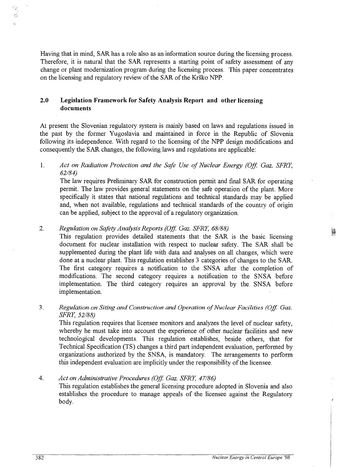Having that in mind, SAR has a role also as an information source during the licensing process. Therefore, it is natural that the SAR represents a starting point of safety assessment of any change or plant modernization program during the licensing process. This paper concentrates on the licensing and regulatory review of the SAR of the Krsko NPP.

# **2.0 Legislation Framework for Safety Analysis Report and other licensing documents**

At present the Slovenian regulatory system is mainly based on laws and regulations issued in the past by the former Yugoslavia and maintained in force in the Republic of Slovenia following its independence. With regard to the licensing of the NPP design modifications and consequently the SAR changes, the following laws and regulations are applicable:

# 1. *Act on Radiation Protection and the Safe Use of Nuclear Energy (Off. Gaz. SFRY, 62/84)*

The law requires Preliminary SAR for construction permit and final SAR for operating permit. The law provides general statements on the safe operation of the plant. More specifically it states that national regulations and technical standards may be applied and, when not available, regulations and technical standards of the country of origin can be applied, subject to the approval of a regulatory organization.

#### 2. *Regulation on Safety Analysis Reports (Off. Gaz. SFRY, 68/88)*

This regulation provides detailed statements that the SAR is the basic licensing document for nuclear installation with respect to nuclear safety. The SAR shall be supplemented during the plant life with data and analyses on all changes, which were done at a nuclear plant. This regulation establishes 3 categories of changes to the SAR. The first category requires a notification to the SNSA after the completion of modifications. The second category requires a notification to the SNSA before implementation. The third category requires an approval by the SNSA before implementation.

# 3. *Regulation on Siting and Construction and Operation of Nuclear Facilities (Off. Gaz. SFRY, 52/88)*

This regulation requires that licensee monitors and analyzes the level of nuclear safety, whereby he must take into account the experience of other nuclear facilities and new technological developments. This regulation establishes, beside others, that for Technical Specification (TS) changes a third part independent evaluation, performed by organizations authorized by the SNSA, is mandatory. The arrangements to perform this independent evaluation are implicitly under the responsibility of the licensee.

# 4. *Act on Administrative Procedures (Off. Gaz. SFRY, 47/86)*

This regulation establishes the general licensing procedure adopted in Slovenia and also establishes the procedure to manage appeals of the licensee against the Regulatory body.

翳

38 À.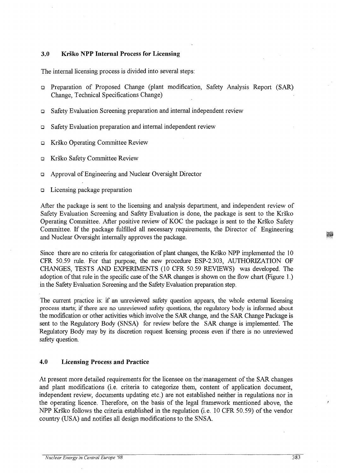#### **3.0 Krsko NPP Internal Process for Licensing**

The internal licensing process is divided into several steps:

- **a** Preparation of Proposed Change (plant modification, Safety Analysis Report (SAR) Change, Technical Specifications Change)
- **a** Safety Evaluation Screening preparation and internal independent review
- a Safety Evaluation preparation and internal independent review
- a Krsko Operating Committee Review
- a Krsko Safety Committee Review
- **a** Approval of Engineering and Nuclear Oversight Director
- a Licensing package preparation

After the package is sent to the licensing and analysis department, and independent review of Safety Evaluation Screening and Safety Evaluation is done, the package is sent to the Krsko Operating Committee. After positive review of KOC the package is sent to the Krsko Safety Committee. If the package fulfilled all necessary requirements, the Director of Engineering and Nuclear Oversight internally approves the package.

Since there are no criteria for categorisation of plant changes, the Krsko NPP implemented the 10 CFR 50.59 rule. For that purpose, the new procedure ESP-2.303, AUTHORIZATION OF CHANGES, TESTS AND EXPERIMENTS (10 CFR 50.59 REVIEWS) was developed. The adoption of that rule in the specific case of the SAR changes is shown on the flow chart (Figure 1.) in the Safety Evaluation Screening and the Safety Evaluation preparation step.

The current practice is: if an unreviewed safety question appears, the whole external licensing process starts; if there are no unreviewed safety questions, the regulatory body is informed about the modification or other activities which involve the SAR change, and the SAR Change Package is sent to the Regulatory Body (SNSA) for review before the SAR change is implemented. The Regulatory Body may by its discretion request licensing process even if there is no unreviewed safety question.

#### **4.0 Licensing Process and Practice**

At present more detailed requirements for the licensee on the management of the SAR changes and plant modifications (i.e. criteria to categorize them, content of application document, independent review, documents updating etc.) are not established neither in regulations nor in the operating licence. Therefore, on the basis of the legal framework mentioned above, the NPP Krsko follows the criteria established in the regulation (i.e. 10 CFR 50.59) of the vendor country (USA) and notifies all design modifications to the SNSA.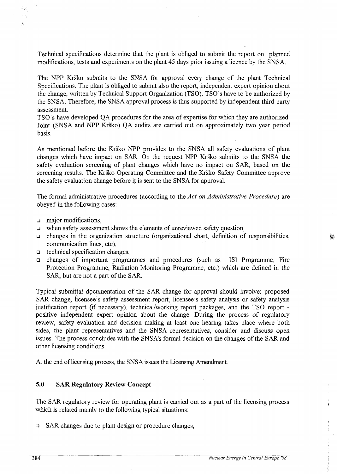Technical specifications determine that the plant is obliged to submit the report on planned modifications, tests and experiments on the plant 45 days prior issuing a licence by the SNSA.

The NPP Krsko submits to the SNSA for approval every change of the plant Technical Specifications. The plant is obliged to submit also the report, independent expert opinion about the change, written by Technical Support Organization (TSO). TSO's have to be authorized by the SNSA. Therefore, the SNSA approval process is thus supported by independent third party assessment.

TSO's have developed QA procedures for the area of expertise for which they are authorized. Joint (SNSA and NPP Krsko) QA audits are carried out on approximately two year period basis.

As mentioned before the Krsko NPP provides to the SNSA all safety evaluations of plant changes which have impact on SAR. On the request NPP Krsko submits to the SNSA the safety evaluation screening of plant changes which have no impact on SAR, based on the screening results. The Krsko Operating Committee and the Krsko Safety Committee approve the safety evaluation change before it is sent to the SNSA for approval.

The formal administrative procedures (according to the *Act on Administrative Procedure)* are obeyed in the following cases:

 $\Box$  major modifications,

45  $\mathcal{L}_{\mathcal{A}}^{\mathcal{L}}$ Ŝ.

- **a** when safety assessment shows the elements of unreviewed safety question,
- $\Box$  changes in the organization structure (organizational chart, definition of responsibilities, communication lines, etc),
- **a** technical specification changes,
- **a** changes of important programmes and procedures (such as ISI Programme, Fire Protection Programme, Radiation Monitoring Programme, etc.) which are defined in the SAR, but are not a part of the SAR.

Typical submittal documentation of the SAR change for approval should involve: proposed SAR change, licensee's safety assessment report, licensee's safety analysis or safety analysis justification report (if necessary), technical/working report packages, and the TSO report positive independent expert opinion about the change. During the process of regulatory review, safety evaluation and decision making at least one hearing takes place where both sides, the plant representatives and the SNSA representatives, consider and discuss open issues. The process concludes with the SNSA's formal decision on the changes of the SAR and other licensing conditions.

At the end of licensing process, the SNSA issues the Licensing Amendment.

#### **5.0 SAR Regulatory Review Concept**

The SAR regulatory review for operating plant is carried out as a part of the licensing process which is related mainly to the following typical situations:

• SAR changes due to plant design or procedure changes,

鼮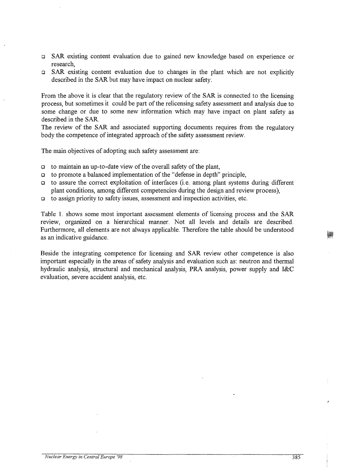- a SAR existing content evaluation due to gained new knowledge based on experience or research,
- $\Box$  SAR existing content evaluation due to changes in the plant which are not explicitly described in the SAR but may have impact on nuclear safety.

From the above it is clear that the regulatory review of the SAR is connected to the licensing process, but sometimes it could be part of the relicensing safety assessment and analysis due to some change or due to some new information which may have impact on plant safety as described in the SAR.

The review of the SAR and associated supporting documents requires from the regulatory body the competence of integrated approach of the safety assessment review.

The main objectives of adopting such safety assessment are:

- a to maintain an up-to-date view of the overall safety of the plant,
- a to promote a balanced implementation of the "defense in depth" principle,
- to assure the correct exploitation of interfaces (i.e. among plant systems during different plant conditions, among different competencies during the design and review process),
- $\Box$  to assign priority to safety issues, assessment and inspection activities, etc.

Table 1. shows some most important assessment elements of licensing process and the SAR review, organized on a hierarchical manner. Not all levels and details are described. Furthermore, all elements are not always applicable. Therefore the table should be understood as an indicative guidance.

Beside the integrating competence for licensing and SAR review other competence is also important especially in the areas of safety analysis and evaluation such as: neutron and thermal hydraulic analysis, structural and mechanical analysis, PRA analysis, power supply and I&C evaluation, severe accident analysis, etc.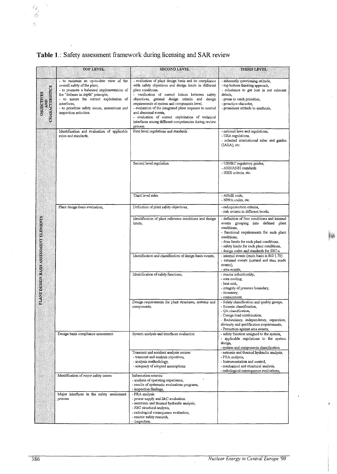# **Table 1.;** Safety assessment framework during licensing and SAR review

|                                        | <b>TOP LEVEL</b>                                                                                                                                                                                                                                                                               | <b>SECOND LEVEL</b>                                                                                                                                                                                                                                                                                                                                                                                                                                                                                   | <b>THIRD LEVEL</b>                                                                                                                                                                                                                                                                               |
|----------------------------------------|------------------------------------------------------------------------------------------------------------------------------------------------------------------------------------------------------------------------------------------------------------------------------------------------|-------------------------------------------------------------------------------------------------------------------------------------------------------------------------------------------------------------------------------------------------------------------------------------------------------------------------------------------------------------------------------------------------------------------------------------------------------------------------------------------------------|--------------------------------------------------------------------------------------------------------------------------------------------------------------------------------------------------------------------------------------------------------------------------------------------------|
| CHARACTERISTICS<br><b>QBJECTIVES</b>   | - to maintain an up-to-date view of the<br>overall safety of the plant,<br>- to promote a balanced implementation of<br>the "defense in depth" principle,<br>- to assure the correct exploitation of<br>interfaces.<br>- to prioritize safety issues, assessment and<br>inspection activities. | - evaluation of plant design basis and its compliance<br>with safety objectives and design limits in different<br>plant conditions,<br>- verification of correct liaison between safety<br>objectives, general design criteria and design<br>requirements at system and components level,<br>- evaluation of the integrated plant response to normal<br>and abnormal events,<br>- evaluation of correct exploitation of technical<br>interfaces among different competencies during review<br>process | - inherently questioning attitude,<br>- top bottom thinking approach,<br>- reluctance to get lost in not relevant<br>details,<br>- prone to catch priorities,<br>- proactive character,<br>- prominent attitude to synthesis,                                                                    |
|                                        | Identification and evaluation of applicable<br>rules and standards,                                                                                                                                                                                                                            | First level regulations and standards                                                                                                                                                                                                                                                                                                                                                                                                                                                                 | - national laws and regulations,<br>- USA regulations,<br>- selected international rules and guides<br>(IAEA), etc.                                                                                                                                                                              |
|                                        |                                                                                                                                                                                                                                                                                                | Second level regulation                                                                                                                                                                                                                                                                                                                                                                                                                                                                               | - USNRC regulatory guides,<br>- ANS/ANSI standards<br>- IEEE criteria, etc.                                                                                                                                                                                                                      |
|                                        |                                                                                                                                                                                                                                                                                                | Third level rules                                                                                                                                                                                                                                                                                                                                                                                                                                                                                     | - ASME code,<br>- NFPA codes, etc.                                                                                                                                                                                                                                                               |
|                                        | Plant design basis evaluation,                                                                                                                                                                                                                                                                 | Definition of plant safety objectives,                                                                                                                                                                                                                                                                                                                                                                                                                                                                | - radioprotection criteria,<br>- risk criteria in different levels,                                                                                                                                                                                                                              |
| PLANT DESIGN BASIS ASSESSMENT ELEMENTS |                                                                                                                                                                                                                                                                                                | Identification of plant reference conditions and design<br>limits,                                                                                                                                                                                                                                                                                                                                                                                                                                    | - definition of four conditions and internal<br>events grouping into defined plant<br>conditions,<br>- functional requirements for each plant<br>conditions,<br>- dose limits for each plant conditions,<br>- safety limits for each plant conditions,<br>- design codes and standards for SSC-s |
|                                        |                                                                                                                                                                                                                                                                                                | Identification and classification of design basis events,                                                                                                                                                                                                                                                                                                                                                                                                                                             | - internal events (main basis is RG 1.70)<br>- external events (natural and man made<br>events),<br>- area events,                                                                                                                                                                               |
|                                        |                                                                                                                                                                                                                                                                                                | Identification of safety functions,                                                                                                                                                                                                                                                                                                                                                                                                                                                                   | - reactor subcriticality,<br>- core cooling,<br>- heat sink.<br>- integrity of pressure boundary,<br>- inventory.<br>- containment,                                                                                                                                                              |
|                                        |                                                                                                                                                                                                                                                                                                | Design requirements for plant structures, systems and<br>components,                                                                                                                                                                                                                                                                                                                                                                                                                                  | - Safety classification and quality groups,<br>- Seismic classification,<br>- QA classification,<br>- Design load combination,<br>- Redundancy, independency, separation,<br>diversity and qualification requirements,<br>- Protection against area events,                                      |
|                                        | Design basis compliance assessment                                                                                                                                                                                                                                                             | System analysis and interfaces evaluation                                                                                                                                                                                                                                                                                                                                                                                                                                                             | - safety function assigned to the system,<br>- applicable regulations to the system<br>design,<br>- system and components classification                                                                                                                                                         |
|                                        |                                                                                                                                                                                                                                                                                                | Transient and accident analysis review:<br>- transient and analysis objectives,<br>- analysis methodology,<br>- adequacy of adopted assumptions                                                                                                                                                                                                                                                                                                                                                       | - netronic and thermal hydraulic analysis,<br>- PRA analysis,<br>- Instrumentation and control,<br>- mechanical and structural analysis,<br>- radiological consequence evaluations,                                                                                                              |
|                                        | Identification of major safety issues                                                                                                                                                                                                                                                          | Information sources:<br>- analysis of operating experience,<br>- results of systematic evaluations programs,<br>- inspection findings.                                                                                                                                                                                                                                                                                                                                                                |                                                                                                                                                                                                                                                                                                  |
|                                        | Major interfaces in the safety assessment<br>process                                                                                                                                                                                                                                           | - PRA analysis<br>- power supply and I&C evaluation<br>- neutronic and thermal hydraulic analysis,<br>- SSC structural analysis,<br>- radiological consequence evaluation,<br>- reactor safety research,<br>- Inspection                                                                                                                                                                                                                                                                              |                                                                                                                                                                                                                                                                                                  |

J.

**M** 

J.

i<br>i

 $\begin{array}{c} \mathcal{L}_{\mathcal{B}} \\ \mathcal{L}_{\mathcal{B}} \end{array}$ 

 $\frac{1}{24}$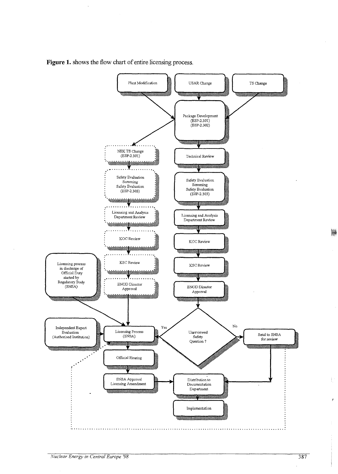

**Figure 1.** shows the flow chart of entire licensing process.

W.

ŧ

y